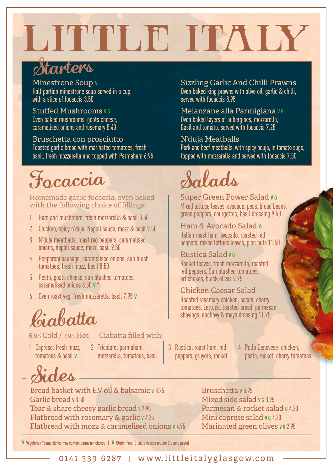# LITTLE ITALY

## Starters

Minestrone Soup **V**

Half portion minestrone soup served in a cup, with a slice of focaccia 3.50

#### Stuffed Mushrooms **VG**

Oven baked mushrooms, goats cheese, caramelised onions and rosemary 5.40

#### Bruschetta con prosciutto

Toasted garlic bread with marinated tomatoes, fresh basil, fresh mozzarella and topped with Parmaham 6.95

## Focaccia Salads

#### Homemade garlic focaccia, oven baked with the following choice of fillings:

- 1 Ham and mushroom, fresh mozzarella & basil 8.50
- 2 Chicken, spicy n'duja, Napoli sauce, mozz & basil 9.50
- 3 N'duja meatballs, roast red peppers, caramelised onions, napoli sauce, mozz, basil 9.50
- Pepperoni sausage, caramelised onions, sun blush tomatoes, fresh mozz, basil 8.50
- 5 Pesto, goats cheese, sun blushed tomatoes, caramelised onions 8.50 **V** \*
- 6 Oven roast veg, fresh mozzarella, basil 7.95 **V**

Ciabatta

### 6.95 Cold / 7.95 Hot Ciabatta filled with:

1 Caprese: fresh mozz, tomatoes & basil **V** 

Ies

2 Tricolore: parmaham, mozzarella, tomatoes, basil

### Sizzling Garlic And Chilli Prawns

Oven baked king prawns with olive oil, garlic & chilli, served with focaccia 8.95

#### Melanzane alla Parmigiana **V G**

Oven baked layers of aubergines, mozzarella, Basil and tomato, served with focaccia 7.25

#### N'duja Meatballs

Pork and beef meatballs, with spicy nduja, in tomato sugo, topped with mozzarella and served with focaccia 7.50

**Super Green Power Salad vG** Mixed lettuce leaves, avocado, peas, broad beans, green peppers, courgettes, basil dressing 9.50

#### Ham & Avocado Salad **G** Italian roast ham, avocado, roasted red

peppers, mixed lettuce leaves, pine nuts 11.50

### Rustica Salad **V G**

Rocket leaves, fresh mozzarella, roasted red peppers, Sun blushed tomatoes, artichokes, black olives 9.75

#### Chicken Caesar Salad

Roasted rosemary chicken, bacon, cherry tomatoes, Lettuce, toasted bread, parmesan shavings, anchovy & mayo dressing 11.75

- 3 Rustica: roast ham, red peppers, gruyere, rocket
- 4 Pollo Genovese: chicken, pesto, rocket, cherry tomatoes

Bread basket with E.V oil & balsamic **V** 3.25 Garlic bread **V** 3.50 Tear & share cheesy garlic bread **V** 7.95 Flatbread with rosemary & garlic **V** 4.25 Flatbread with mozz & caramelised onions **V** 4.95

Bruschetta **V** 5.25 Mixed side salad **v** G 3 95 Parmesan & rocket salad **G** 4.20 Mini caprese salad v<sub>6</sub> 4.20 **Marinated green olives vG 2.95** 

**V** Vegetarian \*some dishes may contain parmesan cheese | **G** Gluten Free (G pasta sauces require G penne pasta)

0141 339 6287 | www.littleitalyglasgow.com